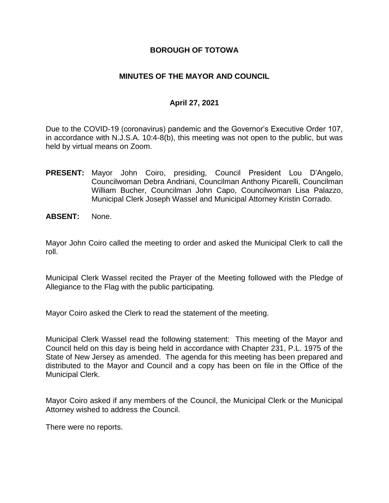#### **BOROUGH OF TOTOWA**

## **MINUTES OF THE MAYOR AND COUNCIL**

## **April 27, 2021**

Due to the COVID-19 (coronavirus) pandemic and the Governor's Executive Order 107, in accordance with N.J.S.A. 10:4-8(b), this meeting was not open to the public, but was held by virtual means on Zoom.

- **PRESENT:** Mayor John Coiro, presiding, Council President Lou D'Angelo, Councilwoman Debra Andriani, Councilman Anthony Picarelli, Councilman William Bucher, Councilman John Capo, Councilwoman Lisa Palazzo, Municipal Clerk Joseph Wassel and Municipal Attorney Kristin Corrado.
- **ABSENT:** None.

Mayor John Coiro called the meeting to order and asked the Municipal Clerk to call the roll.

Municipal Clerk Wassel recited the Prayer of the Meeting followed with the Pledge of Allegiance to the Flag with the public participating.

Mayor Coiro asked the Clerk to read the statement of the meeting.

Municipal Clerk Wassel read the following statement: This meeting of the Mayor and Council held on this day is being held in accordance with Chapter 231, P.L. 1975 of the State of New Jersey as amended. The agenda for this meeting has been prepared and distributed to the Mayor and Council and a copy has been on file in the Office of the Municipal Clerk.

Mayor Coiro asked if any members of the Council, the Municipal Clerk or the Municipal Attorney wished to address the Council.

There were no reports.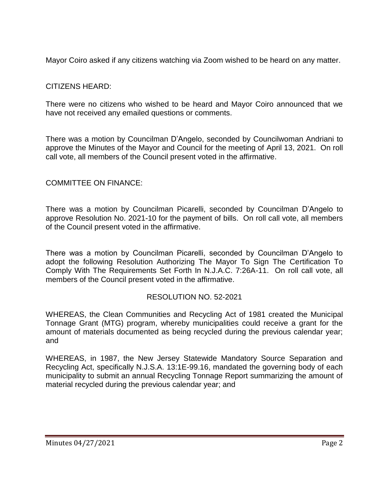Mayor Coiro asked if any citizens watching via Zoom wished to be heard on any matter.

# CITIZENS HEARD:

There were no citizens who wished to be heard and Mayor Coiro announced that we have not received any emailed questions or comments.

There was a motion by Councilman D'Angelo, seconded by Councilwoman Andriani to approve the Minutes of the Mayor and Council for the meeting of April 13, 2021. On roll call vote, all members of the Council present voted in the affirmative.

# COMMITTEE ON FINANCE:

There was a motion by Councilman Picarelli, seconded by Councilman D'Angelo to approve Resolution No. 2021-10 for the payment of bills. On roll call vote, all members of the Council present voted in the affirmative.

There was a motion by Councilman Picarelli, seconded by Councilman D'Angelo to adopt the following Resolution Authorizing The Mayor To Sign The Certification To Comply With The Requirements Set Forth In N.J.A.C. 7:26A-11. On roll call vote, all members of the Council present voted in the affirmative.

## RESOLUTION NO. 52-2021

WHEREAS, the Clean Communities and Recycling Act of 1981 created the Municipal Tonnage Grant (MTG) program, whereby municipalities could receive a grant for the amount of materials documented as being recycled during the previous calendar year; and

WHEREAS, in 1987, the New Jersey Statewide Mandatory Source Separation and Recycling Act, specifically N.J.S.A. 13:1E-99.16, mandated the governing body of each municipality to submit an annual Recycling Tonnage Report summarizing the amount of material recycled during the previous calendar year; and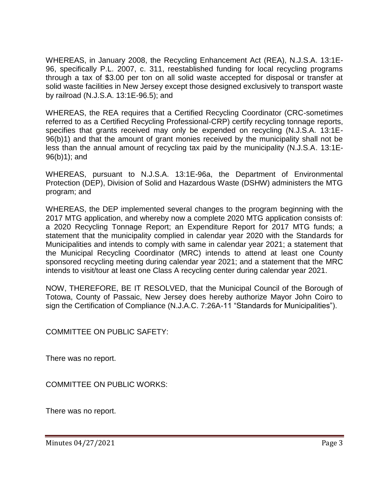WHEREAS, in January 2008, the Recycling Enhancement Act (REA), N.J.S.A. 13:1E-96, specifically P.L. 2007, c. 311, reestablished funding for local recycling programs through a tax of \$3.00 per ton on all solid waste accepted for disposal or transfer at solid waste facilities in New Jersey except those designed exclusively to transport waste by railroad (N.J.S.A. 13:1E-96.5); and

WHEREAS, the REA requires that a Certified Recycling Coordinator (CRC-sometimes referred to as a Certified Recycling Professional-CRP) certify recycling tonnage reports, specifies that grants received may only be expended on recycling (N.J.S.A. 13:1E-96(b)1) and that the amount of grant monies received by the municipality shall not be less than the annual amount of recycling tax paid by the municipality (N.J.S.A. 13:1E-96(b)1); and

WHEREAS, pursuant to N.J.S.A. 13:1E-96a, the Department of Environmental Protection (DEP), Division of Solid and Hazardous Waste (DSHW) administers the MTG program; and

WHEREAS, the DEP implemented several changes to the program beginning with the 2017 MTG application, and whereby now a complete 2020 MTG application consists of: a 2020 Recycling Tonnage Report; an Expenditure Report for 2017 MTG funds; a statement that the municipality complied in calendar year 2020 with the Standards for Municipalities and intends to comply with same in calendar year 2021; a statement that the Municipal Recycling Coordinator (MRC) intends to attend at least one County sponsored recycling meeting during calendar year 2021; and a statement that the MRC intends to visit/tour at least one Class A recycling center during calendar year 2021.

NOW, THEREFORE, BE IT RESOLVED, that the Municipal Council of the Borough of Totowa, County of Passaic, New Jersey does hereby authorize Mayor John Coiro to sign the Certification of Compliance (N.J.A.C. 7:26A-11 "Standards for Municipalities").

COMMITTEE ON PUBLIC SAFETY:

There was no report.

COMMITTEE ON PUBLIC WORKS:

There was no report.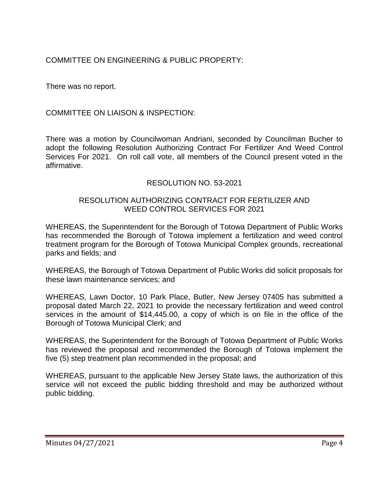COMMITTEE ON ENGINEERING & PUBLIC PROPERTY:

There was no report.

COMMITTEE ON LIAISON & INSPECTION:

There was a motion by Councilwoman Andriani, seconded by Councilman Bucher to adopt the following Resolution Authorizing Contract For Fertilizer And Weed Control Services For 2021. On roll call vote, all members of the Council present voted in the affirmative.

#### RESOLUTION NO. 53-2021

## RESOLUTION AUTHORIZING CONTRACT FOR FERTILIZER AND WEED CONTROL SERVICES FOR 2021

WHEREAS, the Superintendent for the Borough of Totowa Department of Public Works has recommended the Borough of Totowa implement a fertilization and weed control treatment program for the Borough of Totowa Municipal Complex grounds, recreational parks and fields; and

WHEREAS, the Borough of Totowa Department of Public Works did solicit proposals for these lawn maintenance services; and

WHEREAS, Lawn Doctor, 10 Park Place, Butler, New Jersey 07405 has submitted a proposal dated March 22, 2021 to provide the necessary fertilization and weed control services in the amount of \$14,445.00, a copy of which is on file in the office of the Borough of Totowa Municipal Clerk; and

WHEREAS, the Superintendent for the Borough of Totowa Department of Public Works has reviewed the proposal and recommended the Borough of Totowa implement the five (5) step treatment plan recommended in the proposal; and

WHEREAS, pursuant to the applicable New Jersey State laws, the authorization of this service will not exceed the public bidding threshold and may be authorized without public bidding.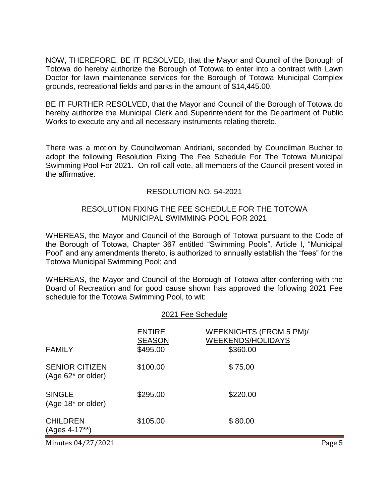NOW, THEREFORE, BE IT RESOLVED, that the Mayor and Council of the Borough of Totowa do hereby authorize the Borough of Totowa to enter into a contract with Lawn Doctor for lawn maintenance services for the Borough of Totowa Municipal Complex grounds, recreational fields and parks in the amount of \$14,445.00.

BE IT FURTHER RESOLVED, that the Mayor and Council of the Borough of Totowa do hereby authorize the Municipal Clerk and Superintendent for the Department of Public Works to execute any and all necessary instruments relating thereto.

There was a motion by Councilwoman Andriani, seconded by Councilman Bucher to adopt the following Resolution Fixing The Fee Schedule For The Totowa Municipal Swimming Pool For 2021. On roll call vote, all members of the Council present voted in the affirmative.

#### RESOLUTION NO. 54-2021

#### RESOLUTION FIXING THE FEE SCHEDULE FOR THE TOTOWA MUNICIPAL SWIMMING POOL FOR 2021

WHEREAS, the Mayor and Council of the Borough of Totowa pursuant to the Code of the Borough of Totowa, Chapter 367 entitled "Swimming Pools", Article I, "Municipal Pool" and any amendments thereto, is authorized to annually establish the "fees" for the Totowa Municipal Swimming Pool; and

WHEREAS, the Mayor and Council of the Borough of Totowa after conferring with the Board of Recreation and for good cause shown has approved the following 2021 Fee schedule for the Totowa Swimming Pool, to wit:

#### 2021 Fee Schedule

| <b>FAMILY</b>                                  | <b>ENTIRE</b><br><b>SEASON</b><br>\$495.00 | WEEKNIGHTS (FROM 5 PM)/<br><b>WEEKENDS/HOLIDAYS</b><br>\$360.00 |
|------------------------------------------------|--------------------------------------------|-----------------------------------------------------------------|
| <b>SENIOR CITIZEN</b><br>$(Age 62^*$ or older) | \$100.00                                   | \$75.00                                                         |
| <b>SINGLE</b><br>$(Age 18* or older)$          | \$295.00                                   | \$220.00                                                        |
| <b>CHILDREN</b><br>(Ages 4-17**)               | \$105.00                                   | \$80.00                                                         |
|                                                |                                            |                                                                 |

Minutes 04/27/2021 **Page 5**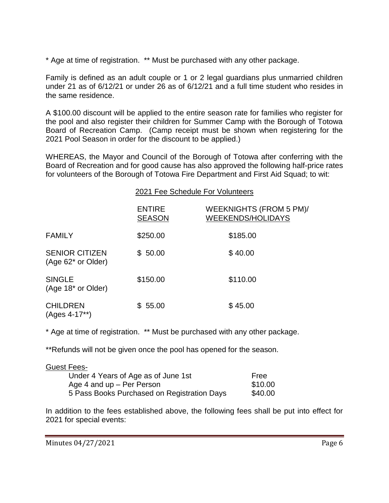\* Age at time of registration. \*\* Must be purchased with any other package.

Family is defined as an adult couple or 1 or 2 legal guardians plus unmarried children under 21 as of 6/12/21 or under 26 as of 6/12/21 and a full time student who resides in the same residence.

A \$100.00 discount will be applied to the entire season rate for families who register for the pool and also register their children for Summer Camp with the Borough of Totowa Board of Recreation Camp. (Camp receipt must be shown when registering for the 2021 Pool Season in order for the discount to be applied.)

WHEREAS, the Mayor and Council of the Borough of Totowa after conferring with the Board of Recreation and for good cause has also approved the following half-price rates for volunteers of the Borough of Totowa Fire Department and First Aid Squad; to wit:

|  |  |  |  |  | 2021 Fee Schedule For Volunteers |
|--|--|--|--|--|----------------------------------|
|--|--|--|--|--|----------------------------------|

|                                                 | <b>ENTIRE</b><br><b>SEASON</b> | WEEKNIGHTS (FROM 5 PM)/<br><b>WEEKENDS/HOLIDAYS</b> |
|-------------------------------------------------|--------------------------------|-----------------------------------------------------|
|                                                 |                                |                                                     |
| <b>FAMILY</b>                                   | \$250.00                       | \$185.00                                            |
| <b>SENIOR CITIZEN</b><br>(Age 62* or Older)     | \$50.00                        | \$40.00                                             |
| <b>SINGLE</b><br>(Age 18 <sup>*</sup> or Older) | \$150.00                       | \$110.00                                            |
| <b>CHILDREN</b><br>(Ages 4-17**)                | \$55.00                        | \$45.00                                             |

\* Age at time of registration. \*\* Must be purchased with any other package.

\*\*Refunds will not be given once the pool has opened for the season.

| Guest Fees-                                 |         |
|---------------------------------------------|---------|
| Under 4 Years of Age as of June 1st         | Free    |
| Age 4 and $up$ – Per Person                 | \$10.00 |
| 5 Pass Books Purchased on Registration Days | \$40.00 |

In addition to the fees established above, the following fees shall be put into effect for 2021 for special events: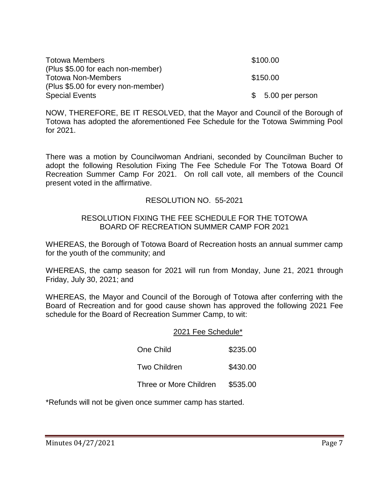| <b>Totowa Members</b>              | \$100.00           |
|------------------------------------|--------------------|
| (Plus \$5.00 for each non-member)  |                    |
| <b>Totowa Non-Members</b>          | \$150.00           |
| (Plus \$5.00 for every non-member) |                    |
| <b>Special Events</b>              | $$5.00$ per person |

NOW, THEREFORE, BE IT RESOLVED, that the Mayor and Council of the Borough of Totowa has adopted the aforementioned Fee Schedule for the Totowa Swimming Pool for 2021.

There was a motion by Councilwoman Andriani, seconded by Councilman Bucher to adopt the following Resolution Fixing The Fee Schedule For The Totowa Board Of Recreation Summer Camp For 2021. On roll call vote, all members of the Council present voted in the affirmative.

## RESOLUTION NO. 55-2021

#### RESOLUTION FIXING THE FEE SCHEDULE FOR THE TOTOWA BOARD OF RECREATION SUMMER CAMP FOR 2021

WHEREAS, the Borough of Totowa Board of Recreation hosts an annual summer camp for the youth of the community; and

WHEREAS, the camp season for 2021 will run from Monday, June 21, 2021 through Friday, July 30, 2021; and

WHEREAS, the Mayor and Council of the Borough of Totowa after conferring with the Board of Recreation and for good cause shown has approved the following 2021 Fee schedule for the Board of Recreation Summer Camp, to wit:

#### 2021 Fee Schedule\*

| One Child              | \$235.00 |
|------------------------|----------|
| <b>Two Children</b>    | \$430.00 |
| Three or More Children | \$535.00 |

\*Refunds will not be given once summer camp has started.